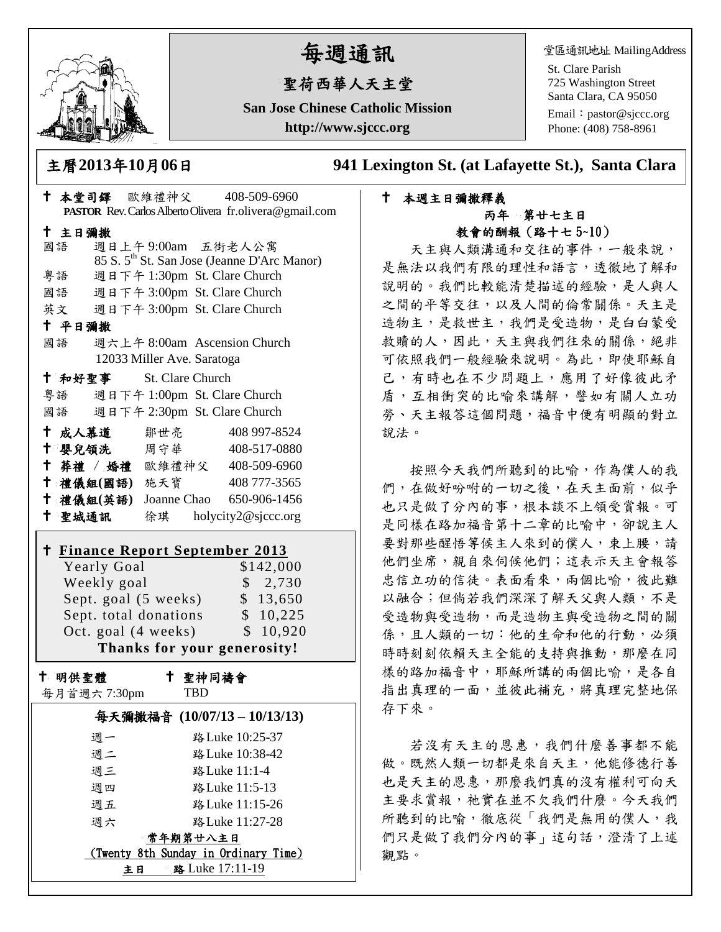

# 每週通訊

# 聖荷西華人天主堂

**San Jose Chinese Catholic Mission http://www.sjccc.org**

堂區通訊地址 MailingAddress

St. Clare Parish 725 Washington Street Santa Clara, CA 95050

Email: [pastor@sjccc.org](mailto:pastor@sjccc.org) Phone: (408) 758-8961

主曆**2013**年**10**月**06**日 **941 Lexington St. (at Lafayette St.), Santa Clara** 

# 本週主日彌撒釋義 丙年 第廿七主日 教會的酬報(路十七 5~10)

天主與人類溝通和交往的事件,一般來說, 是無法以我們有限的理性和語言,透徹地了解和 說明的。我們比較能清楚描述的經驗,是人與人 之間的平等交往,以及人間的倫常關係。天主是 造物主,是救世主,我們是受造物,是白白蒙受 救贖的人,因此,天主與我們往來的關係,絕非 可依照我們一般經驗來說明。為此,即使耶穌自 己,有時也在不少問題上,應用了好像彼此矛 盾,互相衝突的比喻來講解,譬如有關人立功 勞、天主報答這個問題,福音中便有明顯的對立 說法。

按照今天我們所聽到的比喻,作為僕人的我 們,在做好吩咐的一切之後,在天主面前,似乎 也只是做了分內的事,根本談不上領受賞報。可 是同樣在路加福音第十二章的比喻中,卻說主人 要對那些醒悟等候主人來到的僕人,束上腰,請 他們坐席,親自來伺候他們;這表示天主會報答 忠信立功的信徒。表面看來,兩個比喻,彼此難 以融合;但倘若我們深深了解天父與人類,不是 受造物與受造物,而是造物主與受造物之間的關 係,且人類的一切:他的生命和他的行動,必須 時時刻刻依賴天主全能的支持與推動,那麼在同 樣的路加福音中,耶穌所講的兩個比喻,是各自 指出真理的一面,並彼此補充,將真理完整地保 存下來。

若沒有天主的恩惠,我們什麼善事都不能 做。既然人類一切都是來自天主,他能修德行善 也是天主的恩惠,那麼我們真的沒有權利可向天 主要求賞報, 祂實在並不欠我們什麼。今天我們 所聽到的比喻,徹底從「我們是無用的僕人,我 們只是做了我們分內的事」這句話,澄清了上述 觀點。

| 十 本堂司鐸 欧维禮神父               | 408-509-6960<br>PASTOR Rev. Carlos Alberto Olivera fr.olivera@gmail.com                            |
|----------------------------|----------------------------------------------------------------------------------------------------|
| 十 主日彌撒                     |                                                                                                    |
| 國語                         | 週日上午9:00am 五街老人公寓                                                                                  |
|                            | 85 S. 5 <sup>th</sup> St. San Jose (Jeanne D'Arc Manor)                                            |
| 粤語                         | 週日下午 1:30pm St. Clare Church                                                                       |
|                            | 國語 週日下午 3:00pm St. Clare Church                                                                    |
|                            | 英文 週日下午 3:00pm St. Clare Church                                                                    |
| 十 平日彌撒                     |                                                                                                    |
|                            | 國語 週六上午 8:00am Ascension Church                                                                    |
|                            | 12033 Miller Ave. Saratoga                                                                         |
| 十 和好聖事                     | St. Clare Church                                                                                   |
|                            | 粤語 週日下午 1:00pm St. Clare Church                                                                    |
| 國語                         | 週日下午 2:30pm St. Clare Church                                                                       |
|                            | † 成人慕道   鄒世亮<br>408 997-8524                                                                       |
| 十 嬰兒領洗 周守華                 | 408-517-0880                                                                                       |
|                            | + 葬禮 / 婚禮 歐維禮神父 408-509-6960                                                                       |
| 十禮儀組(國語) 施天寶               | 408 777-3565                                                                                       |
|                            | <sup>†</sup> 禮儀組(英語) Joanne Chao 650-906-1456                                                      |
|                            | + 聖城通訊 徐琪 holycity2@sjccc.org                                                                      |
| Yearly Goal<br>Weekly goal | <u>† Finance Report September 2013</u><br>\$142,000<br>\$2,730<br>Sept. goal (5 weeks)<br>\$13,650 |
|                            | Sept. total donations \$ 10,225                                                                    |
|                            | Oct. goal (4 weeks)<br>\$10,920                                                                    |
|                            | Thanks for your generosity!                                                                        |
| 十 明供聖體<br>每月首週六 7:30pm     | 十 聖神同禱會<br><b>TBD</b>                                                                              |
| 毎天彌撒福音 (10/07/13-10/13/13) |                                                                                                    |
| 週一                         | 路 Luke 10:25-37                                                                                    |
| 週二                         | 路 Luke 10:38-42                                                                                    |
| 週三                         | 路 Luke 11:1-4                                                                                      |
| 週四                         | 路 Luke 11:5-13                                                                                     |
| 週五                         | 路Luke 11:15-26                                                                                     |
| 週六                         | 路Luke 11:27-28                                                                                     |
| 常年期第廿八主日                   |                                                                                                    |
|                            | (Twenty 8th Sunday in Ordinary Time)                                                               |
|                            | 路 Luke 17:11-19<br>主日                                                                              |